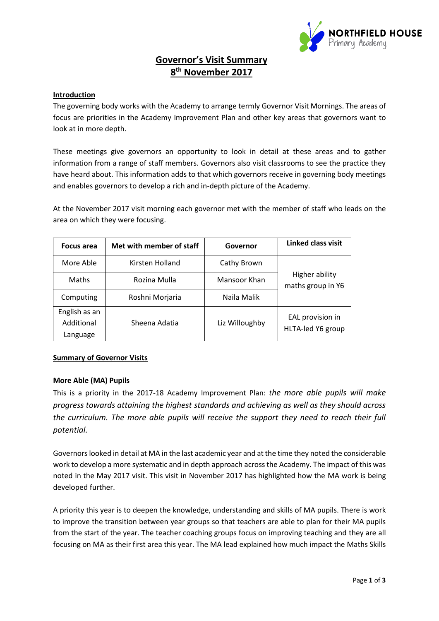

# **Governor's Visit Summary 8 th November 2017**

## **Introduction**

The governing body works with the Academy to arrange termly Governor Visit Mornings. The areas of focus are priorities in the Academy Improvement Plan and other key areas that governors want to look at in more depth.

These meetings give governors an opportunity to look in detail at these areas and to gather information from a range of staff members. Governors also visit classrooms to see the practice they have heard about. This information adds to that which governors receive in governing body meetings and enables governors to develop a rich and in-depth picture of the Academy.

At the November 2017 visit morning each governor met with the member of staff who leads on the area on which they were focusing.

| Focus area                              | Met with member of staff | Governor       | Linked class visit                    |
|-----------------------------------------|--------------------------|----------------|---------------------------------------|
| More Able                               | Kirsten Holland          | Cathy Brown    | Higher ability<br>maths group in Y6   |
| Maths                                   | Rozina Mulla             | Mansoor Khan   |                                       |
| Computing                               | Roshni Morjaria          | Naila Malik    |                                       |
| English as an<br>Additional<br>Language | Sheena Adatia            | Liz Willoughby | EAL provision in<br>HLTA-led Y6 group |

#### **Summary of Governor Visits**

#### **More Able (MA) Pupils**

This is a priority in the 2017-18 Academy Improvement Plan: *the more able pupils will make progress towards attaining the highest standards and achieving as well as they should across the curriculum. The more able pupils will receive the support they need to reach their full potential.*

Governors looked in detail at MA in the last academic year and at the time they noted the considerable work to develop a more systematic and in depth approach across the Academy. The impact of this was noted in the May 2017 visit. This visit in November 2017 has highlighted how the MA work is being developed further.

A priority this year is to deepen the knowledge, understanding and skills of MA pupils. There is work to improve the transition between year groups so that teachers are able to plan for their MA pupils from the start of the year. The teacher coaching groups focus on improving teaching and they are all focusing on MA as their first area this year. The MA lead explained how much impact the Maths Skills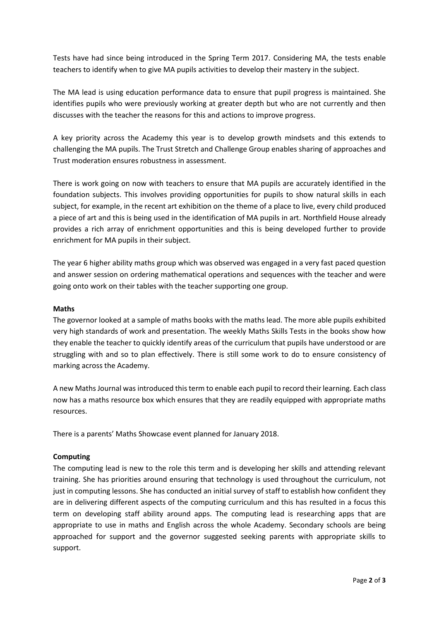Tests have had since being introduced in the Spring Term 2017. Considering MA, the tests enable teachers to identify when to give MA pupils activities to develop their mastery in the subject.

The MA lead is using education performance data to ensure that pupil progress is maintained. She identifies pupils who were previously working at greater depth but who are not currently and then discusses with the teacher the reasons for this and actions to improve progress.

A key priority across the Academy this year is to develop growth mindsets and this extends to challenging the MA pupils. The Trust Stretch and Challenge Group enables sharing of approaches and Trust moderation ensures robustness in assessment.

There is work going on now with teachers to ensure that MA pupils are accurately identified in the foundation subjects. This involves providing opportunities for pupils to show natural skills in each subject, for example, in the recent art exhibition on the theme of a place to live, every child produced a piece of art and this is being used in the identification of MA pupils in art. Northfield House already provides a rich array of enrichment opportunities and this is being developed further to provide enrichment for MA pupils in their subject.

The year 6 higher ability maths group which was observed was engaged in a very fast paced question and answer session on ordering mathematical operations and sequences with the teacher and were going onto work on their tables with the teacher supporting one group.

## **Maths**

The governor looked at a sample of maths books with the maths lead. The more able pupils exhibited very high standards of work and presentation. The weekly Maths Skills Tests in the books show how they enable the teacher to quickly identify areas of the curriculum that pupils have understood or are struggling with and so to plan effectively. There is still some work to do to ensure consistency of marking across the Academy.

A new Maths Journal was introduced this term to enable each pupil to record their learning. Each class now has a maths resource box which ensures that they are readily equipped with appropriate maths resources.

There is a parents' Maths Showcase event planned for January 2018.

#### **Computing**

The computing lead is new to the role this term and is developing her skills and attending relevant training. She has priorities around ensuring that technology is used throughout the curriculum, not just in computing lessons. She has conducted an initial survey of staff to establish how confident they are in delivering different aspects of the computing curriculum and this has resulted in a focus this term on developing staff ability around apps. The computing lead is researching apps that are appropriate to use in maths and English across the whole Academy. Secondary schools are being approached for support and the governor suggested seeking parents with appropriate skills to support.